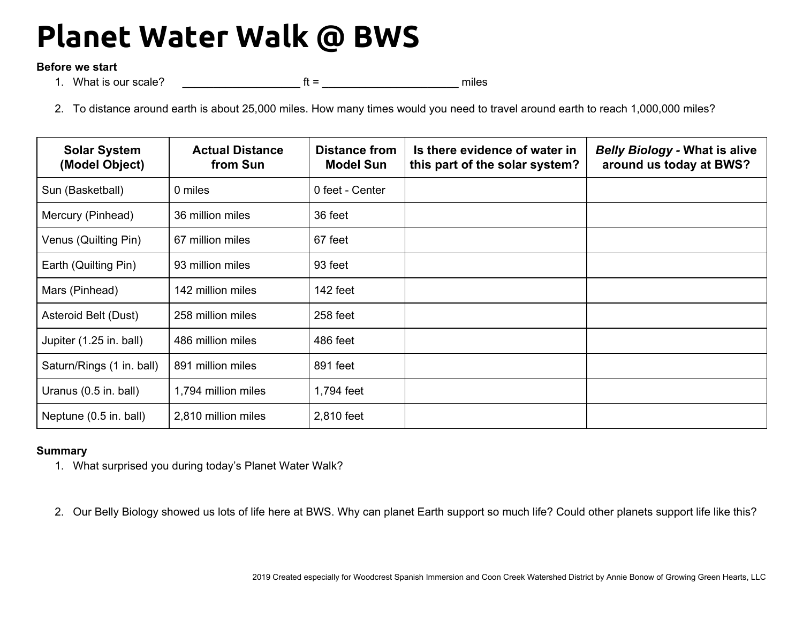## **Planet Water Walk @ BWS**

## **Before we start**

1. What is our scale? The state of the state of the state of the state of the state of the state of the state of the state of the state of the state of the state of the state of the state of the state of the state of the s

2. To distance around earth is about 25,000 miles. How many times would you need to travel around earth to reach 1,000,000 miles?

| <b>Solar System</b><br>(Model Object) | <b>Actual Distance</b><br>from Sun | <b>Distance from</b><br><b>Model Sun</b> | Is there evidence of water in<br>this part of the solar system? | <b>Belly Biology - What is alive</b><br>around us today at BWS? |
|---------------------------------------|------------------------------------|------------------------------------------|-----------------------------------------------------------------|-----------------------------------------------------------------|
| Sun (Basketball)                      | 0 miles                            | 0 feet - Center                          |                                                                 |                                                                 |
| Mercury (Pinhead)                     | 36 million miles                   | 36 feet                                  |                                                                 |                                                                 |
| Venus (Quilting Pin)                  | 67 million miles                   | 67 feet                                  |                                                                 |                                                                 |
| Earth (Quilting Pin)                  | 93 million miles                   | 93 feet                                  |                                                                 |                                                                 |
| Mars (Pinhead)                        | 142 million miles                  | 142 feet                                 |                                                                 |                                                                 |
| Asteroid Belt (Dust)                  | 258 million miles                  | 258 feet                                 |                                                                 |                                                                 |
| Jupiter (1.25 in. ball)               | 486 million miles                  | 486 feet                                 |                                                                 |                                                                 |
| Saturn/Rings (1 in. ball)             | 891 million miles                  | 891 feet                                 |                                                                 |                                                                 |
| Uranus (0.5 in. ball)                 | 1,794 million miles                | 1,794 feet                               |                                                                 |                                                                 |
| Neptune (0.5 in. ball)                | 2,810 million miles                | 2,810 feet                               |                                                                 |                                                                 |

## **Summary**

1. What surprised you during today's Planet Water Walk?

2. Our Belly Biology showed us lots of life here at BWS. Why can planet Earth support so much life? Could other planets support life like this?